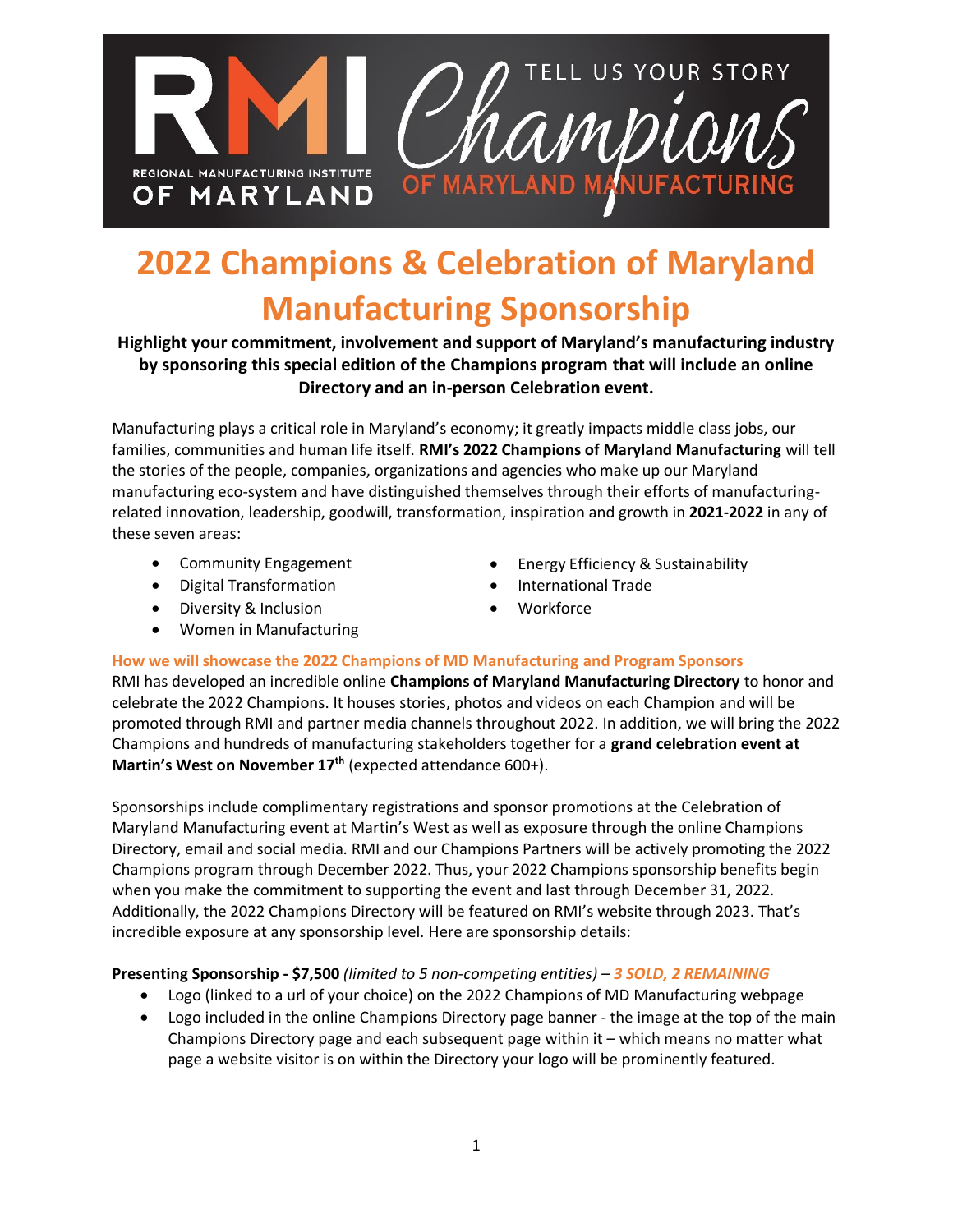

# **2022 Champions & Celebration of Maryland Manufacturing Sponsorship**

### **Highlight your commitment, involvement and support of Maryland's manufacturing industry by sponsoring this special edition of the Champions program that will include an online Directory and an in-person Celebration event.**

Manufacturing plays a critical role in Maryland's economy; it greatly impacts middle class jobs, our families, communities and human life itself. **RMI's 2022 Champions of Maryland Manufacturing** will tell the stories of the people, companies, organizations and agencies who make up our Maryland manufacturing eco-system and have distinguished themselves through their efforts of manufacturingrelated innovation, leadership, goodwill, transformation, inspiration and growth in **2021-2022** in any of these seven areas:

- Community Engagement
- Digital Transformation
- Diversity & Inclusion
- Women in Manufacturing
- Energy Efficiency & Sustainability
- International Trade
- **Workforce**

#### **How we will showcase the 2022 Champions of MD Manufacturing and Program Sponsors**

RMI has developed an incredible online **Champions of Maryland Manufacturing Directory** to honor and celebrate the 2022 Champions. It houses stories, photos and videos on each Champion and will be promoted through RMI and partner media channels throughout 2022. In addition, we will bring the 2022 Champions and hundreds of manufacturing stakeholders together for a **grand celebration event at Martin's West on November 17th** (expected attendance 600+).

Sponsorships include complimentary registrations and sponsor promotions at the Celebration of Maryland Manufacturing event at Martin's West as well as exposure through the online Champions Directory, email and social media. RMI and our Champions Partners will be actively promoting the 2022 Champions program through December 2022. Thus, your 2022 Champions sponsorship benefits begin when you make the commitment to supporting the event and last through December 31, 2022. Additionally, the 2022 Champions Directory will be featured on RMI's website through 2023. That's incredible exposure at any sponsorship level. Here are sponsorship details:

#### **Presenting Sponsorship - \$7,500** *(limited to 5 non-competing entities) – 3 SOLD, 2 REMAINING*

- Logo (linked to a url of your choice) on the 2022 Champions of MD Manufacturing webpage
- Logo included in the online Champions Directory page banner the image at the top of the main Champions Directory page and each subsequent page within it – which means no matter what page a website visitor is on within the Directory your logo will be prominently featured.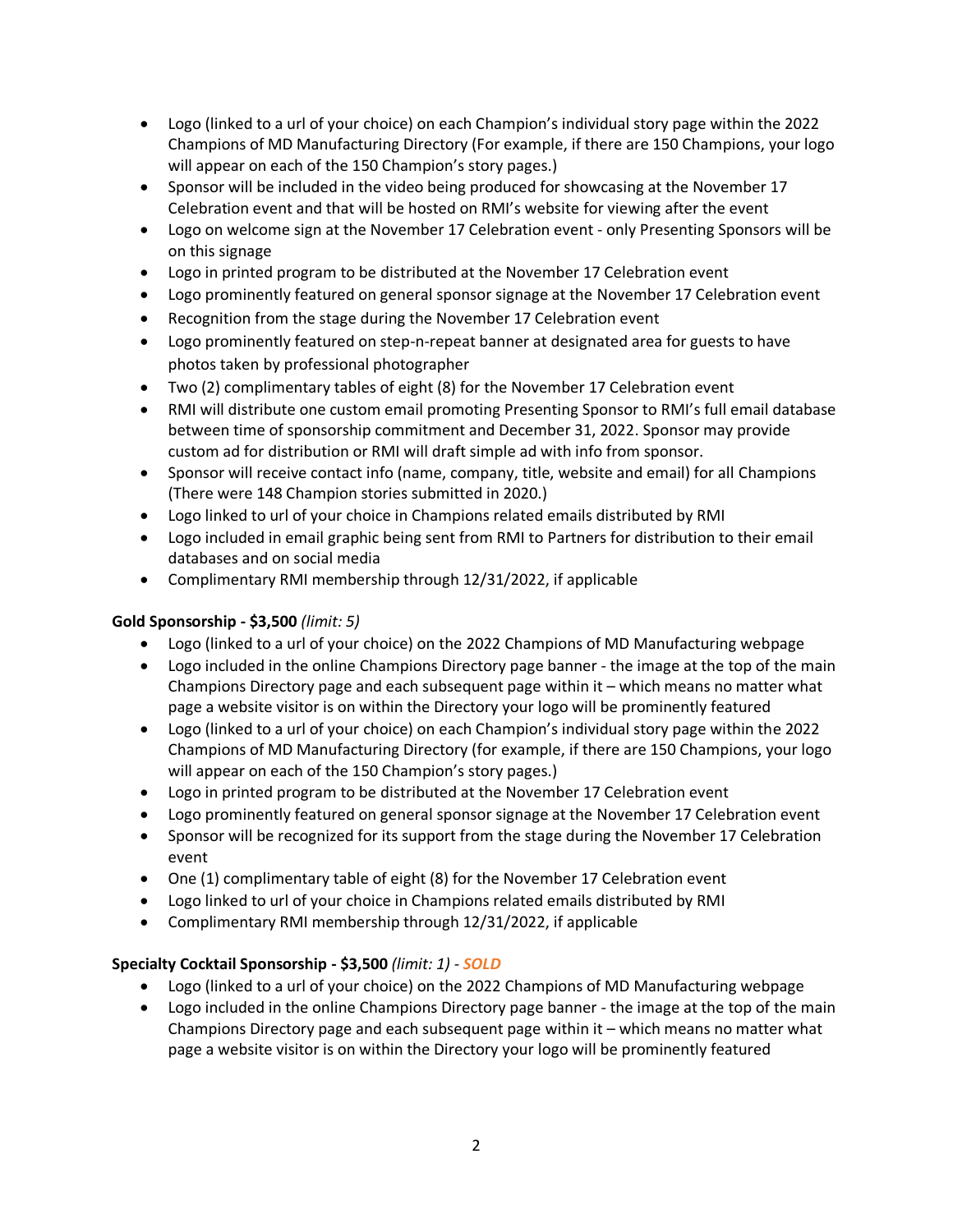- Logo (linked to a url of your choice) on each Champion's individual story page within the 2022 Champions of MD Manufacturing Directory (For example, if there are 150 Champions, your logo will appear on each of the 150 Champion's story pages.)
- Sponsor will be included in the video being produced for showcasing at the November 17 Celebration event and that will be hosted on RMI's website for viewing after the event
- Logo on welcome sign at the November 17 Celebration event only Presenting Sponsors will be on this signage
- Logo in printed program to be distributed at the November 17 Celebration event
- Logo prominently featured on general sponsor signage at the November 17 Celebration event
- Recognition from the stage during the November 17 Celebration event
- Logo prominently featured on step-n-repeat banner at designated area for guests to have photos taken by professional photographer
- Two (2) complimentary tables of eight (8) for the November 17 Celebration event
- RMI will distribute one custom email promoting Presenting Sponsor to RMI's full email database between time of sponsorship commitment and December 31, 2022. Sponsor may provide custom ad for distribution or RMI will draft simple ad with info from sponsor.
- Sponsor will receive contact info (name, company, title, website and email) for all Champions (There were 148 Champion stories submitted in 2020.)
- Logo linked to url of your choice in Champions related emails distributed by RMI
- Logo included in email graphic being sent from RMI to Partners for distribution to their email databases and on social media
- Complimentary RMI membership through 12/31/2022, if applicable

#### **Gold Sponsorship - \$3,500** *(limit: 5)*

- Logo (linked to a url of your choice) on the 2022 Champions of MD Manufacturing webpage
- Logo included in the online Champions Directory page banner the image at the top of the main Champions Directory page and each subsequent page within it – which means no matter what page a website visitor is on within the Directory your logo will be prominently featured
- Logo (linked to a url of your choice) on each Champion's individual story page within the 2022 Champions of MD Manufacturing Directory (for example, if there are 150 Champions, your logo will appear on each of the 150 Champion's story pages.)
- Logo in printed program to be distributed at the November 17 Celebration event
- Logo prominently featured on general sponsor signage at the November 17 Celebration event
- Sponsor will be recognized for its support from the stage during the November 17 Celebration event
- One (1) complimentary table of eight (8) for the November 17 Celebration event
- Logo linked to url of your choice in Champions related emails distributed by RMI
- Complimentary RMI membership through 12/31/2022, if applicable

#### **Specialty Cocktail Sponsorship - \$3,500** *(limit: 1) - SOLD*

- Logo (linked to a url of your choice) on the 2022 Champions of MD Manufacturing webpage
- Logo included in the online Champions Directory page banner the image at the top of the main Champions Directory page and each subsequent page within it – which means no matter what page a website visitor is on within the Directory your logo will be prominently featured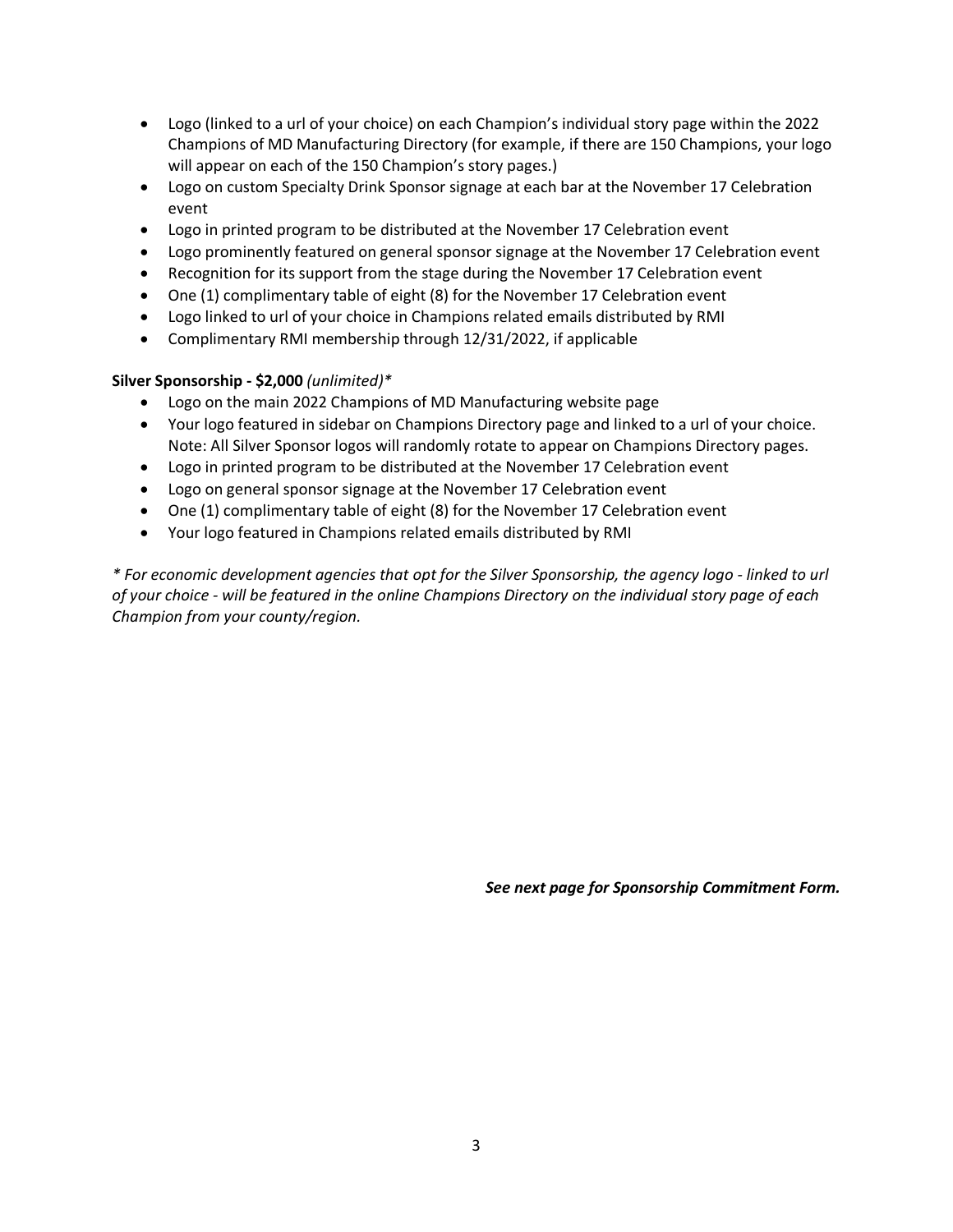- Logo (linked to a url of your choice) on each Champion's individual story page within the 2022 Champions of MD Manufacturing Directory (for example, if there are 150 Champions, your logo will appear on each of the 150 Champion's story pages.)
- Logo on custom Specialty Drink Sponsor signage at each bar at the November 17 Celebration event
- Logo in printed program to be distributed at the November 17 Celebration event
- Logo prominently featured on general sponsor signage at the November 17 Celebration event
- Recognition for its support from the stage during the November 17 Celebration event
- One (1) complimentary table of eight (8) for the November 17 Celebration event
- Logo linked to url of your choice in Champions related emails distributed by RMI
- Complimentary RMI membership through 12/31/2022, if applicable

#### **Silver Sponsorship - \$2,000** *(unlimited)\**

- Logo on the main 2022 Champions of MD Manufacturing website page
- Your logo featured in sidebar on Champions Directory page and linked to a url of your choice. Note: All Silver Sponsor logos will randomly rotate to appear on Champions Directory pages.
- Logo in printed program to be distributed at the November 17 Celebration event
- Logo on general sponsor signage at the November 17 Celebration event
- One (1) complimentary table of eight (8) for the November 17 Celebration event
- Your logo featured in Champions related emails distributed by RMI

*\* For economic development agencies that opt for the Silver Sponsorship, the agency logo - linked to url of your choice - will be featured in the online Champions Directory on the individual story page of each Champion from your county/region.* 

*See next page for Sponsorship Commitment Form.*